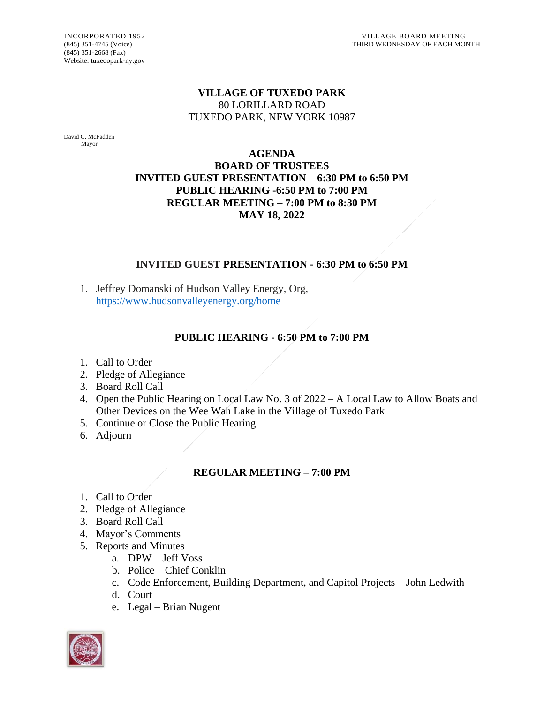(845) 351-2668 (Fax) Website: tuxedopark-ny.gov

## **VILLAGE OF TUXEDO PARK** 80 LORILLARD ROAD TUXEDO PARK, NEW YORK 10987

David C. McFadden Mayor

#### **AGENDA BOARD OF TRUSTEES INVITED GUEST PRESENTATION – 6:30 PM to 6:50 PM PUBLIC HEARING -6:50 PM to 7:00 PM REGULAR MEETING – 7:00 PM to 8:30 PM MAY 18, 2022**

## **INVITED GUEST PRESENTATION - 6:30 PM to 6:50 PM**

1. Jeffrey Domanski of Hudson Valley Energy, Org, <https://www.hudsonvalleyenergy.org/home>

# **PUBLIC HEARING - 6:50 PM to 7:00 PM**

- 1. Call to Order
- 2. Pledge of Allegiance
- 3. Board Roll Call
- 4. Open the Public Hearing on Local Law No. 3 of 2022 A Local Law to Allow Boats and Other Devices on the Wee Wah Lake in the Village of Tuxedo Park
- 5. Continue or Close the Public Hearing
- 6. Adjourn

# **REGULAR MEETING – 7:00 PM**

- 1. Call to Order
- 2. Pledge of Allegiance
- 3. Board Roll Call
- 4. Mayor's Comments
- 5. Reports and Minutes
	- a. DPW Jeff Voss
	- b. Police Chief Conklin
	- c. Code Enforcement, Building Department, and Capitol Projects John Ledwith
	- d. Court
	- e. Legal Brian Nugent

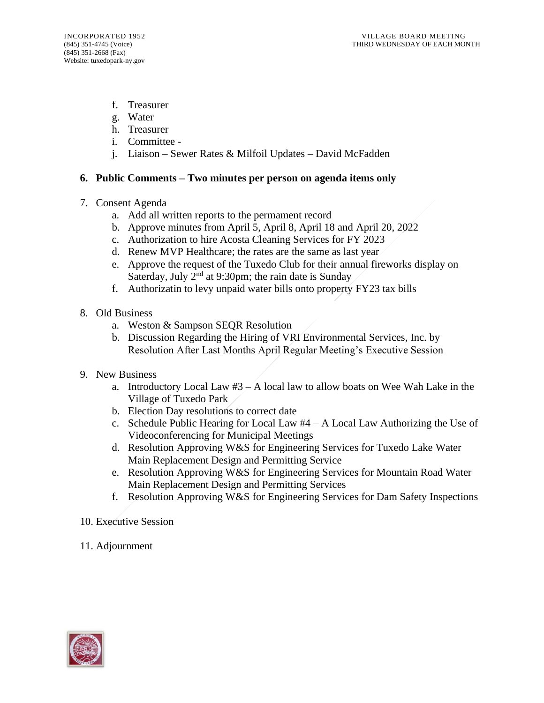- f. Treasurer
- g. Water
- h. Treasurer
- i. Committee -
- j. Liaison Sewer Rates & Milfoil Updates David McFadden

#### **6. Public Comments – Two minutes per person on agenda items only**

- 7. Consent Agenda
	- a. Add all written reports to the permament record
	- b. Approve minutes from April 5, April 8, April 18 and April 20, 2022
	- c. Authorization to hire Acosta Cleaning Services for FY 2023
	- d. Renew MVP Healthcare; the rates are the same as last year
	- e. Approve the request of the Tuxedo Club for their annual fireworks display on Saterday, July  $2<sup>nd</sup>$  at 9:30pm; the rain date is Sunday
	- f. Authorizatin to levy unpaid water bills onto property FY23 tax bills
- 8. Old Business
	- a. Weston & Sampson SEQR Resolution
	- b. Discussion Regarding the Hiring of VRI Environmental Services, Inc. by Resolution After Last Months April Regular Meeting's Executive Session
- 9. New Business
	- a. Introductory Local Law  $#3 A$  local law to allow boats on Wee Wah Lake in the Village of Tuxedo Park
	- b. Election Day resolutions to correct date
	- c. Schedule Public Hearing for Local Law  $#4 A$  Local Law Authorizing the Use of Videoconferencing for Municipal Meetings
	- d. Resolution Approving W&S for Engineering Services for Tuxedo Lake Water Main Replacement Design and Permitting Service
	- e. Resolution Approving W&S for Engineering Services for Mountain Road Water Main Replacement Design and Permitting Services
	- f. Resolution Approving W&S for Engineering Services for Dam Safety Inspections
- 10. Executive Session
- 11. Adjournment